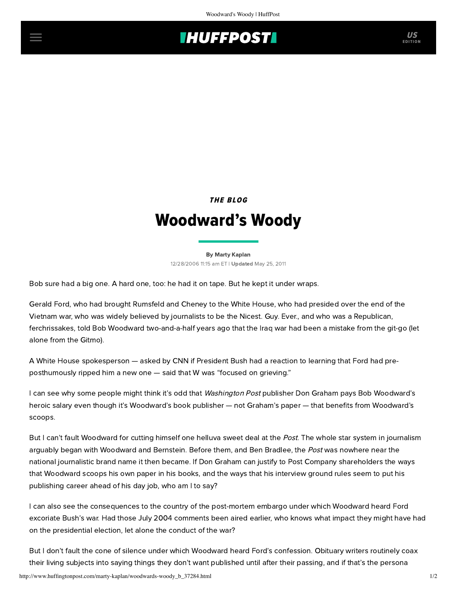## **THUFFPOSTI** US

THE BLOG

## Woodward's Woody

[By Marty Kaplan](http://www.huffingtonpost.com/author/marty-kaplan) 12/28/2006 11:15 am ET | Updated May 25, 2011

Bob sure had a big one. A hard one, too: he had it on tape. But he kept it under wraps.

Gerald Ford, who had brought Rumsfeld and Cheney to the White House, who had presided over the end of the Vietnam war, who was widely believed by journalists to be the Nicest. Guy. Ever., and who was a Republican, ferchrissakes, told Bob Woodward two-and-a-half years ago that the Iraq war had been a mistake from the git-go (let alone from the Gitmo).

A White House spokesperson — asked by CNN if President Bush had a reaction to learning that Ford had preposthumously ripped him a new one — said that W was "focused on grieving."

I can see why some people might think it's odd that Washington Post publisher Don Graham pays Bob Woodward's heroic salary even though it's Woodward's book publisher — not Graham's paper — that benefits from Woodward's scoops.

But I can't fault Woodward for cutting himself one helluva sweet deal at the Post. The whole star system in journalism arguably began with Woodward and Bernstein. Before them, and Ben Bradlee, the Post was nowhere near the national journalistic brand name it then became. If Don Graham can justify to Post Company shareholders the ways that Woodward scoops his own paper in his books, and the ways that his interview ground rules seem to put his publishing career ahead of his day job, who am I to say?

I can also see the consequences to the country of the post-mortem embargo under which Woodward heard Ford excoriate Bush's war. Had those July 2004 comments been aired earlier, who knows what impact they might have had on the presidential election, let alone the conduct of the war?

But I don't fault the cone of silence under which Woodward heard Ford's confession. Obituary writers routinely coax their living subjects into saying things they don't want published until after their passing, and if that's the persona